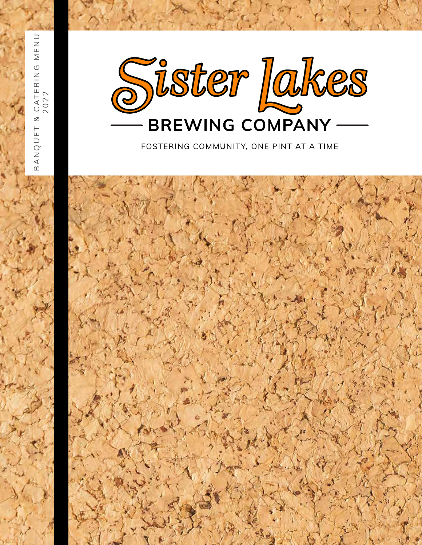

FOSTERING COMMUNITY, ONE PINT AT A TIME

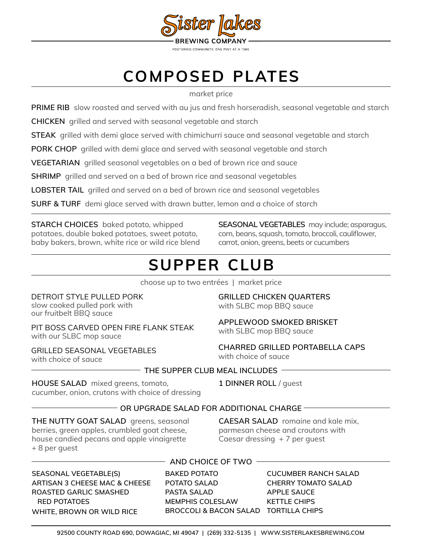

# **composed plates**

#### market price

**PRIME RIB** slow roasted and served with au jus and fresh horseradish, seasonal vegetable and starch

**CHICKEN** grilled and served with seasonal vegetable and starch

**STEAK** grilled with demi glace served with chimichurri sauce and seasonal vegetable and starch

**PORK CHOP** grilled with demi glace and served with seasonal vegetable and starch

**VEGETARIAN** grilled seasonal vegetables on a bed of brown rice and sauce

**SHRIMP** grilled and served on a bed of brown rice and seasonal vegetables

**LOBSTER TAIL** grilled and served on a bed of brown rice and seasonal vegetables

**SURF & TURF** demi glace served with drawn butter, lemon and a choice of starch

### **STARCH CHOICES** baked potato, whipped

potatoes, double baked potatoes, sweet potato, baby bakers, brown, white rice or wild rice blend

**SEASONAL VEGETABLES** may include; asparagus, corn, beans, squash, tomato, broccoli, cauliflower, carrot, onion, greens, beets or cucumbers

## **supper club**

choose up to two entrées | market price

DETROIT STYLE PULLED PORK slow cooked pulled pork with our fruitbelt BBQ sauce

PIT BOSS CARVED OPEN FIRE FLANK STEAK with our SLBC mop sauce

GRILLED SEASONAL VEGETABLES with choice of sauce

### **GRILLED CHICKEN QUARTERS**  with SLBC mop BBQ sauce

### **APPLEWOOD SMOKED BRISKET**  with SLBC mop BBQ sauce

**CHARRED GRILLED PORTABELLA CAPS** with choice of sauce

### **THE SUPPER CLUB MEAL INCLUDES**

**HOUSE SALAD** mixed greens, tomato, cucumber, onion, crutons with choice of dressing **1 DINNER ROLL** / guest

### **OR UPGRADE SALAD FOR ADDITIONAL CHARGE**

**THE NUTTY GOAT SALAD** greens, seasonal berries, green apples, crumbled goat cheese, house candied pecans and apple vinaigrette + 8 per guest

**CAESAR SALAD** romaine and kale mix, parmesan cheese and croutons with Caesar dressing + 7 per guest

**SEASONAL VEGETABLE(S) ARTISAN 3 CHEESE MAC & CHEESE ROASTED GARLIC SMASHED RED POTATOES WHITE, BROWN OR WILD RICE**

### **AND CHOICE OF TWO**

**BAKED POTATO POTATO SALAD PASTA SALAD MEMPHIS COLESLAW BROCCOLI & BACON SALAD TORTILLA CHIPS**

**CUCUMBER RANCH SALAD CHERRY TOMATO SALAD APPLE SAUCE KETTLE CHIPS**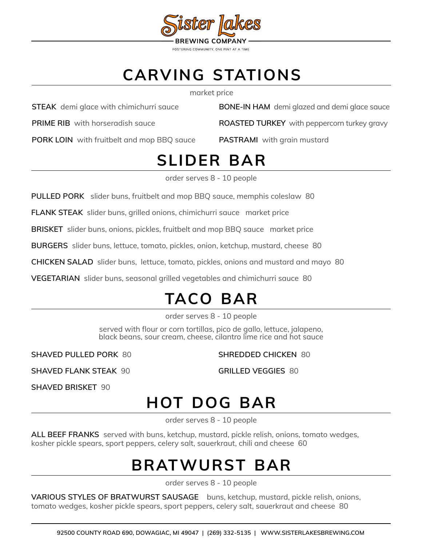

## **carving stations**

market price

**STEAK** demi glace with chimichurri sauce

**PRIME RIB** with horseradish sauce

**PORK LOIN** with fruitbelt and mop BBQ sauce

**BONE-IN HAM** demi glazed and demi glace sauce

**ROASTED TURKEY** with peppercorn turkey gravy

**PASTRAMI** with grain mustard

# **slider bar**

order serves 8 - 10 people

**PULLED PORK** slider buns, fruitbelt and mop BBQ sauce, memphis coleslaw 80

**FLANK STEAK** slider buns, grilled onions, chimichurri sauce market price

**BRISKET** slider buns, onions, pickles, fruitbelt and mop BBQ sauce market price

**BURGERS** slider buns, lettuce, tomato, pickles, onion, ketchup, mustard, cheese 80

**CHICKEN SALAD** slider buns, lettuce, tomato, pickles, onions and mustard and mayo 80

**VEGETARIAN** slider buns, seasonal grilled vegetables and chimichurri sauce 80

# **taco bar**

order serves 8 - 10 people

served with flour or corn tortillas, pico de gallo, lettuce, jalapeno, black beans, sour cream, cheese, cilantro lime rice and hot sauce

**SHAVED PULLED PORK** 80

**SHREDDED CHICKEN** 80

**SHAVED FLANK STEAK** 90

**GRILLED VEGGIES** 80

**SHAVED BRISKET** 90

## **hot dog bar**

order serves 8 - 10 people

**ALL BEEF FRANKS** served with buns, ketchup, mustard, pickle relish, onions, tomato wedges, kosher pickle spears, sport peppers, celery salt, sauerkraut, chili and cheese 60

## **bratwurst bar**

order serves 8 - 10 people

**VARIOUS STYLES OF BRATWURST SAUSAGE** buns, ketchup, mustard, pickle relish, onions, tomato wedges, kosher pickle spears, sport peppers, celery salt, sauerkraut and cheese 80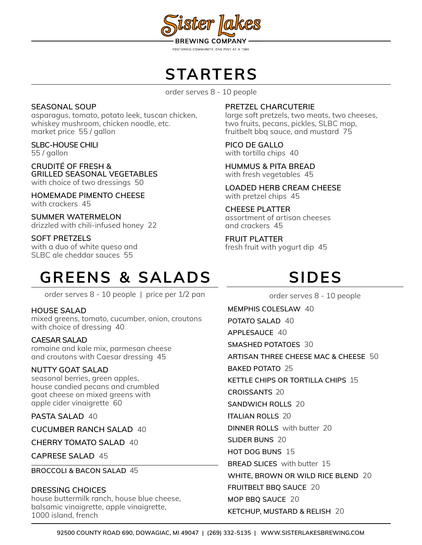

FOSTERING COMMUNITY, ONE PINT AT A TIME

### **starters**

order serves 8 - 10 people

### **SEASONAL SOUP**

asparagus, tomato, potato leek, tuscan chicken, whiskey mushroom, chicken noodle, etc. market price 55 / gallon

**SLBC-HOUSE CHILI**  55 / gallon

**CRUDITÉ OF FRESH & GRILLED SEASONAL VEGETABLES** with choice of two dressings 50

**HOMEMADE PIMENTO CHEESE** with crackers 45

**SUMMER WATERMELON** drizzled with chili-infused honey 22

### **SOFT PRETZELS**

with a duo of white queso and SLBC ale cheddar sauces 55

### **PRETZEL CHARCUTERIE**

large soft pretzels, two meats, two cheeses, two fruits, pecans, pickles, SLBC mop, fruitbelt bbq sauce, and mustard 75

**PICO DE GALLO** with tortilla chips 40

**HUMMUS & PITA BREAD** with fresh vegetables 45

**LOADED HERB CREAM CHEESE** with pretzel chips 45

**CHEESE PLATTER** assortment of artisan cheeses and crackers 45

**FRUIT PLATTER** fresh fruit with yogurt dip 45

## **greens & salads**

order serves 8 - 10 people | price per 1/2 pan

### **HOUSE SALAD**

mixed greens, tomato, cucumber, onion, croutons with choice of dressing 40

### **CAESAR SALAD**

romaine and kale mix, parmesan cheese and croutons with Caesar dressing 45

### **NUTTY GOAT SALAD**

seasonal berries, green apples, house candied pecans and crumbled goat cheese on mixed greens with apple cider vinaigrette 60

**PASTA SALAD** 40

**CUCUMBER RANCH SALAD** 40

**CHERRY TOMATO SALAD** 40

**CAPRESE SALAD** 45

**BROCCOLI & BACON SALAD** 45

### **DRESSING CHOICES**

house buttermilk ranch, house blue cheese, balsamic vinaigrette, apple vinaigrette, 1000 island, french

# **sides**

order serves 8 - 10 people **MEMPHIS COLESLAW** 40 **POTATO SALAD** 40 **APPLESAUCE** 40 **SMASHED POTATOES** 30 **ARTISAN THREE CHEESE MAC & CHEESE** 50 **BAKED POTATO** 25 **KETTLE CHIPS OR TORTILLA CHIPS** 15 **CROISSANTS** 20 **SANDWICH ROLLS** 20 **ITALIAN ROLLS** 20 **DINNER ROLLS** with butter 20 **SLIDER BUNS** 20 **HOT DOG BUNS** 15 **BREAD SLICES** with butter 15 **WHITE, BROWN OR WILD RICE BLEND** 20 **FRUITBELT BBQ SAUCE** 20 **MOP BBQ SAUCE** 20 **KETCHUP, MUSTARD & RELISH** 20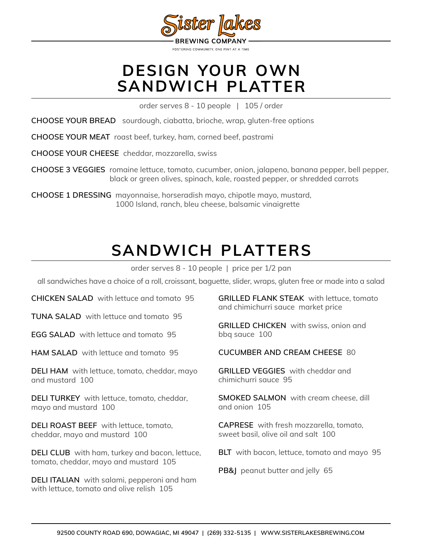

### **design your own sandwich platter**

order serves 8 - 10 people | 105 / order

**CHOOSE YOUR BREAD** sourdough, ciabatta, brioche, wrap, gluten-free options

**CHOOSE YOUR MEAT** roast beef, turkey, ham, corned beef, pastrami

**CHOOSE YOUR CHEESE** cheddar, mozzarella, swiss

**CHOOSE 3 VEGGIES** romaine lettuce, tomato, cucumber, onion, jalapeno, banana pepper, bell pepper, black or green olives, spinach, kale, roasted pepper, or shredded carrots

**CHOOSE 1 DRESSING** mayonnaise, horseradish mayo, chipotle mayo, mustard, 1000 Island, ranch, bleu cheese, balsamic vinaigrette

## **sandwich platters**

order serves 8 - 10 people | price per 1/2 pan

all sandwiches have a choice of a roll, croissant, baguette, slider, wraps, gluten free or made into a salad

**CHICKEN SALAD** with lettuce and tomato 95

**TUNA SALAD** with lettuce and tomato 95

**EGG SALAD** with lettuce and tomato 95

**HAM SALAD** with lettuce and tomato 95

**DELI HAM** with lettuce, tomato, cheddar, mayo and mustard 100

**DELI TURKEY** with lettuce, tomato, cheddar, mayo and mustard 100

**DELI ROAST BEEF** with lettuce, tomato, cheddar, mayo and mustard 100

**DELI CLUB** with ham, turkey and bacon, lettuce, tomato, cheddar, mayo and mustard 105

**DELI ITALIAN** with salami, pepperoni and ham with lettuce, tomato and olive relish 105

**GRILLED FLANK STEAK** with lettuce, tomato and chimichurri sauce market price

**GRILLED CHICKEN** with swiss, onion and bbq sauce 100

**CUCUMBER AND CREAM CHEESE** 80

**GRILLED VEGGIES** with cheddar and chimichurri sauce 95

**SMOKED SALMON** with cream cheese, dill and onion 105

**CAPRESE** with fresh mozzarella, tomato, sweet basil, olive oil and salt 100

**BLT** with bacon, lettuce, tomato and mayo 95

**PB&J** peanut butter and jelly 65